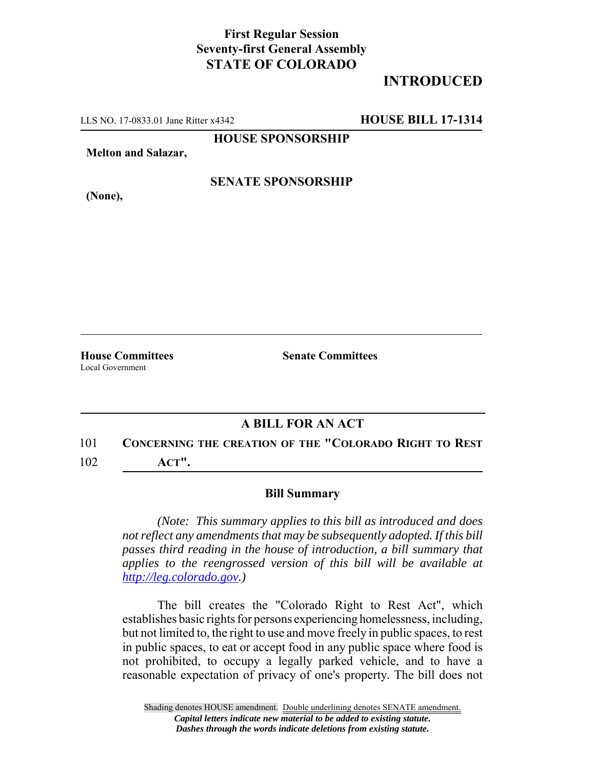## **First Regular Session Seventy-first General Assembly STATE OF COLORADO**

## **INTRODUCED**

LLS NO. 17-0833.01 Jane Ritter x4342 **HOUSE BILL 17-1314**

**HOUSE SPONSORSHIP**

**Melton and Salazar,**

**(None),**

**SENATE SPONSORSHIP**

Local Government

**House Committees Senate Committees** 

## **A BILL FOR AN ACT**

101 **CONCERNING THE CREATION OF THE "COLORADO RIGHT TO REST** 102 **ACT".**

## **Bill Summary**

*(Note: This summary applies to this bill as introduced and does not reflect any amendments that may be subsequently adopted. If this bill passes third reading in the house of introduction, a bill summary that applies to the reengrossed version of this bill will be available at http://leg.colorado.gov.)*

The bill creates the "Colorado Right to Rest Act", which establishes basic rights for persons experiencing homelessness, including, but not limited to, the right to use and move freely in public spaces, to rest in public spaces, to eat or accept food in any public space where food is not prohibited, to occupy a legally parked vehicle, and to have a reasonable expectation of privacy of one's property. The bill does not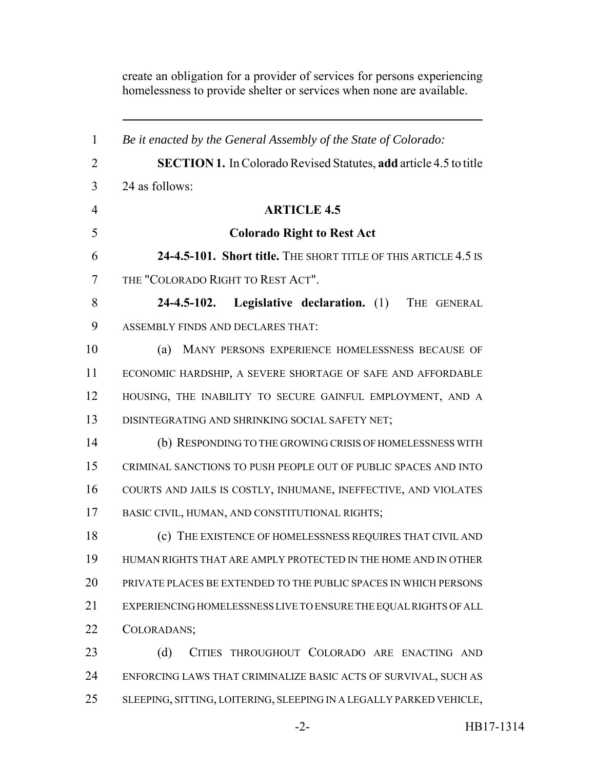homelessness to provide shelter or services when none are available. *Be it enacted by the General Assembly of the State of Colorado:* **SECTION 1.** In Colorado Revised Statutes, **add** article 4.5 to title 24 as follows: **ARTICLE 4.5 Colorado Right to Rest Act 24-4.5-101. Short title.** THE SHORT TITLE OF THIS ARTICLE 4.5 IS THE "COLORADO RIGHT TO REST ACT". **24-4.5-102. Legislative declaration.** (1) THE GENERAL ASSEMBLY FINDS AND DECLARES THAT: (a) MANY PERSONS EXPERIENCE HOMELESSNESS BECAUSE OF ECONOMIC HARDSHIP, A SEVERE SHORTAGE OF SAFE AND AFFORDABLE 12 HOUSING, THE INABILITY TO SECURE GAINFUL EMPLOYMENT, AND A DISINTEGRATING AND SHRINKING SOCIAL SAFETY NET; (b) RESPONDING TO THE GROWING CRISIS OF HOMELESSNESS WITH CRIMINAL SANCTIONS TO PUSH PEOPLE OUT OF PUBLIC SPACES AND INTO COURTS AND JAILS IS COSTLY, INHUMANE, INEFFECTIVE, AND VIOLATES BASIC CIVIL, HUMAN, AND CONSTITUTIONAL RIGHTS; (c) THE EXISTENCE OF HOMELESSNESS REQUIRES THAT CIVIL AND HUMAN RIGHTS THAT ARE AMPLY PROTECTED IN THE HOME AND IN OTHER PRIVATE PLACES BE EXTENDED TO THE PUBLIC SPACES IN WHICH PERSONS EXPERIENCING HOMELESSNESS LIVE TO ENSURE THE EQUAL RIGHTS OF ALL COLORADANS; 23 (d) CITIES THROUGHOUT COLORADO ARE ENACTING AND ENFORCING LAWS THAT CRIMINALIZE BASIC ACTS OF SURVIVAL, SUCH AS SLEEPING, SITTING, LOITERING, SLEEPING IN A LEGALLY PARKED VEHICLE,

create an obligation for a provider of services for persons experiencing

-2- HB17-1314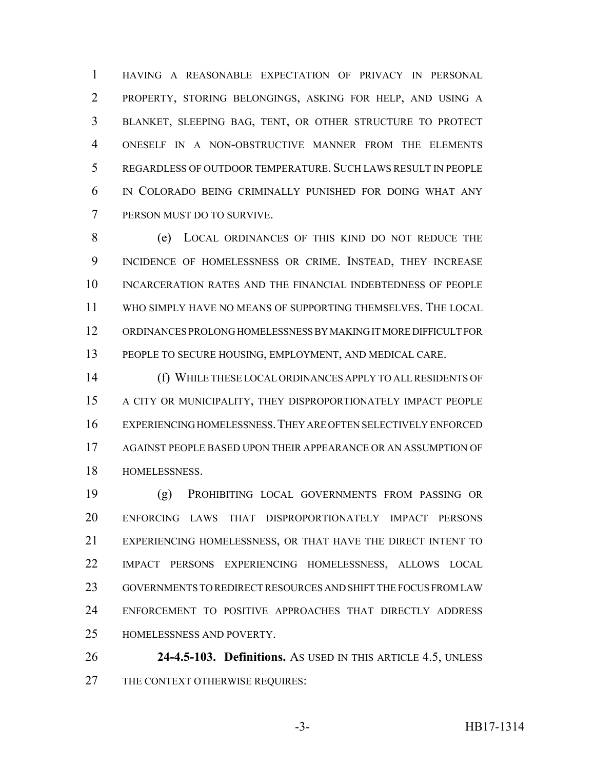HAVING A REASONABLE EXPECTATION OF PRIVACY IN PERSONAL PROPERTY, STORING BELONGINGS, ASKING FOR HELP, AND USING A BLANKET, SLEEPING BAG, TENT, OR OTHER STRUCTURE TO PROTECT ONESELF IN A NON-OBSTRUCTIVE MANNER FROM THE ELEMENTS REGARDLESS OF OUTDOOR TEMPERATURE. SUCH LAWS RESULT IN PEOPLE IN COLORADO BEING CRIMINALLY PUNISHED FOR DOING WHAT ANY PERSON MUST DO TO SURVIVE.

 (e) LOCAL ORDINANCES OF THIS KIND DO NOT REDUCE THE INCIDENCE OF HOMELESSNESS OR CRIME. INSTEAD, THEY INCREASE INCARCERATION RATES AND THE FINANCIAL INDEBTEDNESS OF PEOPLE WHO SIMPLY HAVE NO MEANS OF SUPPORTING THEMSELVES. THE LOCAL ORDINANCES PROLONG HOMELESSNESS BY MAKING IT MORE DIFFICULT FOR PEOPLE TO SECURE HOUSING, EMPLOYMENT, AND MEDICAL CARE.

 (f) WHILE THESE LOCAL ORDINANCES APPLY TO ALL RESIDENTS OF A CITY OR MUNICIPALITY, THEY DISPROPORTIONATELY IMPACT PEOPLE EXPERIENCING HOMELESSNESS.THEY ARE OFTEN SELECTIVELY ENFORCED AGAINST PEOPLE BASED UPON THEIR APPEARANCE OR AN ASSUMPTION OF HOMELESSNESS.

 (g) PROHIBITING LOCAL GOVERNMENTS FROM PASSING OR ENFORCING LAWS THAT DISPROPORTIONATELY IMPACT PERSONS EXPERIENCING HOMELESSNESS, OR THAT HAVE THE DIRECT INTENT TO IMPACT PERSONS EXPERIENCING HOMELESSNESS, ALLOWS LOCAL GOVERNMENTS TO REDIRECT RESOURCES AND SHIFT THE FOCUS FROM LAW ENFORCEMENT TO POSITIVE APPROACHES THAT DIRECTLY ADDRESS HOMELESSNESS AND POVERTY.

 **24-4.5-103. Definitions.** AS USED IN THIS ARTICLE 4.5, UNLESS THE CONTEXT OTHERWISE REQUIRES: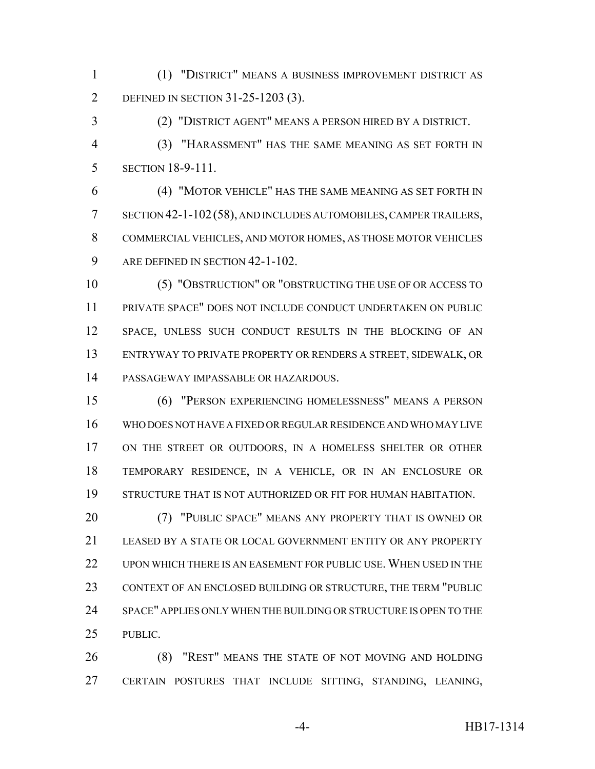(1) "DISTRICT" MEANS A BUSINESS IMPROVEMENT DISTRICT AS DEFINED IN SECTION 31-25-1203 (3).

(2) "DISTRICT AGENT" MEANS A PERSON HIRED BY A DISTRICT.

 (3) "HARASSMENT" HAS THE SAME MEANING AS SET FORTH IN SECTION 18-9-111.

 (4) "MOTOR VEHICLE" HAS THE SAME MEANING AS SET FORTH IN SECTION 42-1-102(58), AND INCLUDES AUTOMOBILES, CAMPER TRAILERS, COMMERCIAL VEHICLES, AND MOTOR HOMES, AS THOSE MOTOR VEHICLES 9 ARE DEFINED IN SECTION 42-1-102.

 (5) "OBSTRUCTION" OR "OBSTRUCTING THE USE OF OR ACCESS TO PRIVATE SPACE" DOES NOT INCLUDE CONDUCT UNDERTAKEN ON PUBLIC SPACE, UNLESS SUCH CONDUCT RESULTS IN THE BLOCKING OF AN ENTRYWAY TO PRIVATE PROPERTY OR RENDERS A STREET, SIDEWALK, OR PASSAGEWAY IMPASSABLE OR HAZARDOUS.

 (6) "PERSON EXPERIENCING HOMELESSNESS" MEANS A PERSON WHO DOES NOT HAVE A FIXED OR REGULAR RESIDENCE AND WHO MAY LIVE ON THE STREET OR OUTDOORS, IN A HOMELESS SHELTER OR OTHER TEMPORARY RESIDENCE, IN A VEHICLE, OR IN AN ENCLOSURE OR STRUCTURE THAT IS NOT AUTHORIZED OR FIT FOR HUMAN HABITATION.

 (7) "PUBLIC SPACE" MEANS ANY PROPERTY THAT IS OWNED OR LEASED BY A STATE OR LOCAL GOVERNMENT ENTITY OR ANY PROPERTY UPON WHICH THERE IS AN EASEMENT FOR PUBLIC USE. WHEN USED IN THE CONTEXT OF AN ENCLOSED BUILDING OR STRUCTURE, THE TERM "PUBLIC SPACE" APPLIES ONLY WHEN THE BUILDING OR STRUCTURE IS OPEN TO THE PUBLIC.

 (8) "REST" MEANS THE STATE OF NOT MOVING AND HOLDING CERTAIN POSTURES THAT INCLUDE SITTING, STANDING, LEANING,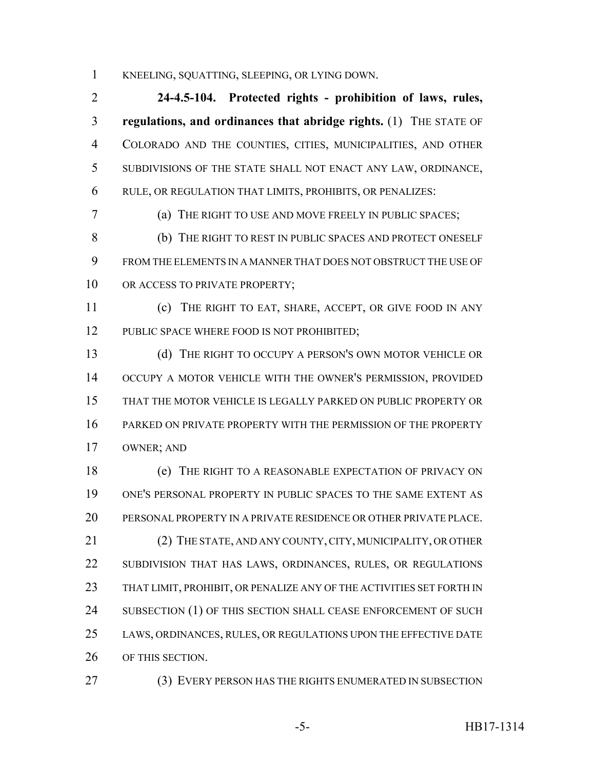KNEELING, SQUATTING, SLEEPING, OR LYING DOWN.

 **24-4.5-104. Protected rights - prohibition of laws, rules, regulations, and ordinances that abridge rights.** (1) THE STATE OF COLORADO AND THE COUNTIES, CITIES, MUNICIPALITIES, AND OTHER SUBDIVISIONS OF THE STATE SHALL NOT ENACT ANY LAW, ORDINANCE, RULE, OR REGULATION THAT LIMITS, PROHIBITS, OR PENALIZES:

(a) THE RIGHT TO USE AND MOVE FREELY IN PUBLIC SPACES;

 (b) THE RIGHT TO REST IN PUBLIC SPACES AND PROTECT ONESELF FROM THE ELEMENTS IN A MANNER THAT DOES NOT OBSTRUCT THE USE OF 10 OR ACCESS TO PRIVATE PROPERTY;

 (c) THE RIGHT TO EAT, SHARE, ACCEPT, OR GIVE FOOD IN ANY 12 PUBLIC SPACE WHERE FOOD IS NOT PROHIBITED;

13 (d) THE RIGHT TO OCCUPY A PERSON'S OWN MOTOR VEHICLE OR OCCUPY A MOTOR VEHICLE WITH THE OWNER'S PERMISSION, PROVIDED THAT THE MOTOR VEHICLE IS LEGALLY PARKED ON PUBLIC PROPERTY OR PARKED ON PRIVATE PROPERTY WITH THE PERMISSION OF THE PROPERTY OWNER; AND

 (e) THE RIGHT TO A REASONABLE EXPECTATION OF PRIVACY ON ONE'S PERSONAL PROPERTY IN PUBLIC SPACES TO THE SAME EXTENT AS PERSONAL PROPERTY IN A PRIVATE RESIDENCE OR OTHER PRIVATE PLACE. (2) THE STATE, AND ANY COUNTY, CITY, MUNICIPALITY, OR OTHER SUBDIVISION THAT HAS LAWS, ORDINANCES, RULES, OR REGULATIONS 23 THAT LIMIT, PROHIBIT, OR PENALIZE ANY OF THE ACTIVITIES SET FORTH IN 24 SUBSECTION (1) OF THIS SECTION SHALL CEASE ENFORCEMENT OF SUCH LAWS, ORDINANCES, RULES, OR REGULATIONS UPON THE EFFECTIVE DATE OF THIS SECTION.

(3) EVERY PERSON HAS THE RIGHTS ENUMERATED IN SUBSECTION